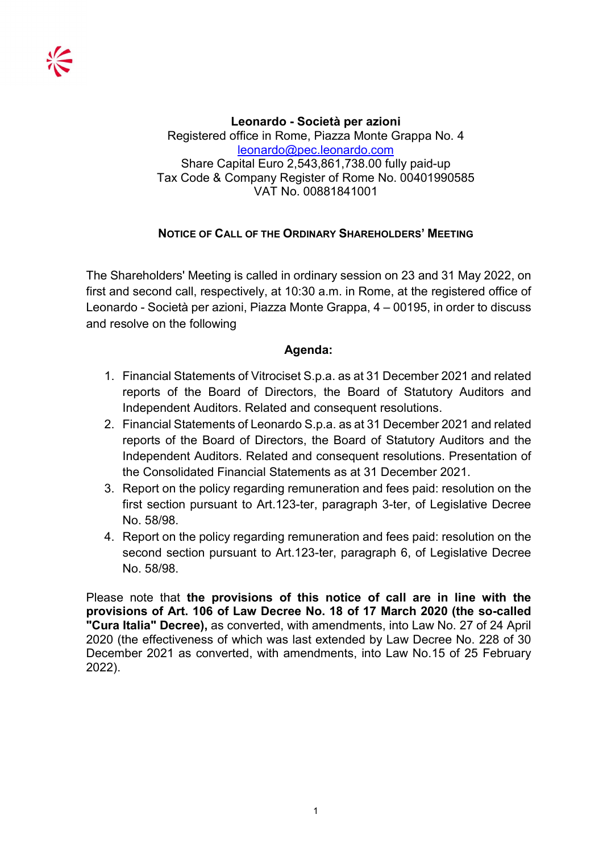Leonardo - Società per azioni Registered office in Rome, Piazza Monte Grappa No. 4 leonardo@pec.leonardo.com Share Capital Euro 2,543,861,738.00 fully paid-up Tax Code & Company Register of Rome No. 00401990585 VAT No. 00881841001

# NOTICE OF CALL OF THE ORDINARY SHAREHOLDERS' MEETING

The Shareholders' Meeting is called in ordinary session on 23 and 31 May 2022, on first and second call, respectively, at 10:30 a.m. in Rome, at the registered office of Leonardo - Società per azioni, Piazza Monte Grappa, 4 – 00195, in order to discuss and resolve on the following

# Agenda:

- 1. Financial Statements of Vitrociset S.p.a. as at 31 December 2021 and related reports of the Board of Directors, the Board of Statutory Auditors and Independent Auditors. Related and consequent resolutions.
- 2. Financial Statements of Leonardo S.p.a. as at 31 December 2021 and related reports of the Board of Directors, the Board of Statutory Auditors and the Independent Auditors. Related and consequent resolutions. Presentation of the Consolidated Financial Statements as at 31 December 2021.
- 3. Report on the policy regarding remuneration and fees paid: resolution on the first section pursuant to Art.123-ter, paragraph 3-ter, of Legislative Decree No. 58/98.
- 4. Report on the policy regarding remuneration and fees paid: resolution on the second section pursuant to Art.123-ter, paragraph 6, of Legislative Decree No. 58/98.

Please note that the provisions of this notice of call are in line with the provisions of Art. 106 of Law Decree No. 18 of 17 March 2020 (the so-called "Cura Italia" Decree), as converted, with amendments, into Law No. 27 of 24 April 2020 (the effectiveness of which was last extended by Law Decree No. 228 of 30 December 2021 as converted, with amendments, into Law No.15 of 25 February 2022).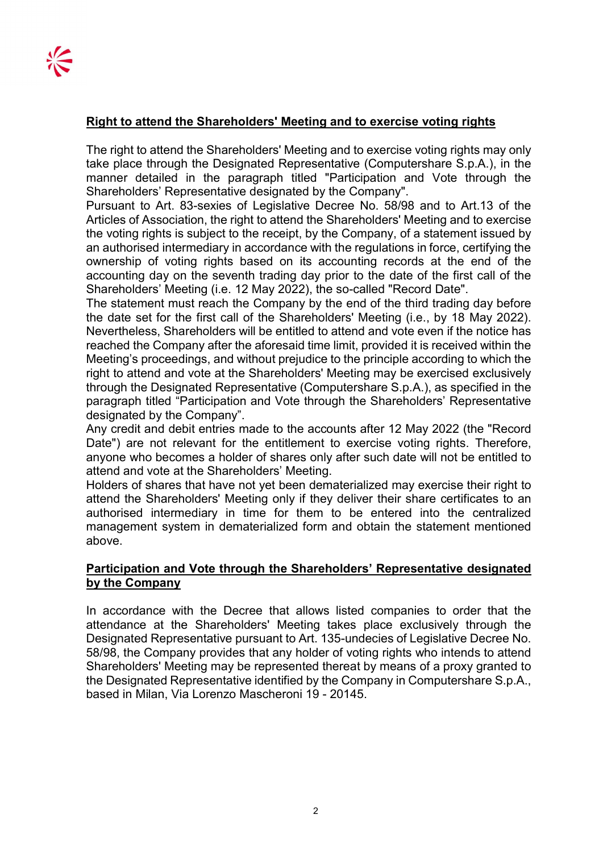## Right to attend the Shareholders' Meeting and to exercise voting rights

The right to attend the Shareholders' Meeting and to exercise voting rights may only take place through the Designated Representative (Computershare S.p.A.), in the manner detailed in the paragraph titled "Participation and Vote through the Shareholders' Representative designated by the Company".

Pursuant to Art. 83-sexies of Legislative Decree No. 58/98 and to Art.13 of the Articles of Association, the right to attend the Shareholders' Meeting and to exercise the voting rights is subject to the receipt, by the Company, of a statement issued by an authorised intermediary in accordance with the regulations in force, certifying the ownership of voting rights based on its accounting records at the end of the accounting day on the seventh trading day prior to the date of the first call of the Shareholders' Meeting (i.e. 12 May 2022), the so-called "Record Date".

The statement must reach the Company by the end of the third trading day before the date set for the first call of the Shareholders' Meeting (i.e., by 18 May 2022). Nevertheless, Shareholders will be entitled to attend and vote even if the notice has reached the Company after the aforesaid time limit, provided it is received within the Meeting's proceedings, and without prejudice to the principle according to which the right to attend and vote at the Shareholders' Meeting may be exercised exclusively through the Designated Representative (Computershare S.p.A.), as specified in the paragraph titled "Participation and Vote through the Shareholders' Representative designated by the Company".

Any credit and debit entries made to the accounts after 12 May 2022 (the "Record Date") are not relevant for the entitlement to exercise voting rights. Therefore, anyone who becomes a holder of shares only after such date will not be entitled to attend and vote at the Shareholders' Meeting.

Holders of shares that have not yet been dematerialized may exercise their right to attend the Shareholders' Meeting only if they deliver their share certificates to an authorised intermediary in time for them to be entered into the centralized management system in dematerialized form and obtain the statement mentioned above.

### Participation and Vote through the Shareholders' Representative designated by the Company

In accordance with the Decree that allows listed companies to order that the attendance at the Shareholders' Meeting takes place exclusively through the Designated Representative pursuant to Art. 135-undecies of Legislative Decree No. 58/98, the Company provides that any holder of voting rights who intends to attend Shareholders' Meeting may be represented thereat by means of a proxy granted to the Designated Representative identified by the Company in Computershare S.p.A., based in Milan, Via Lorenzo Mascheroni 19 - 20145.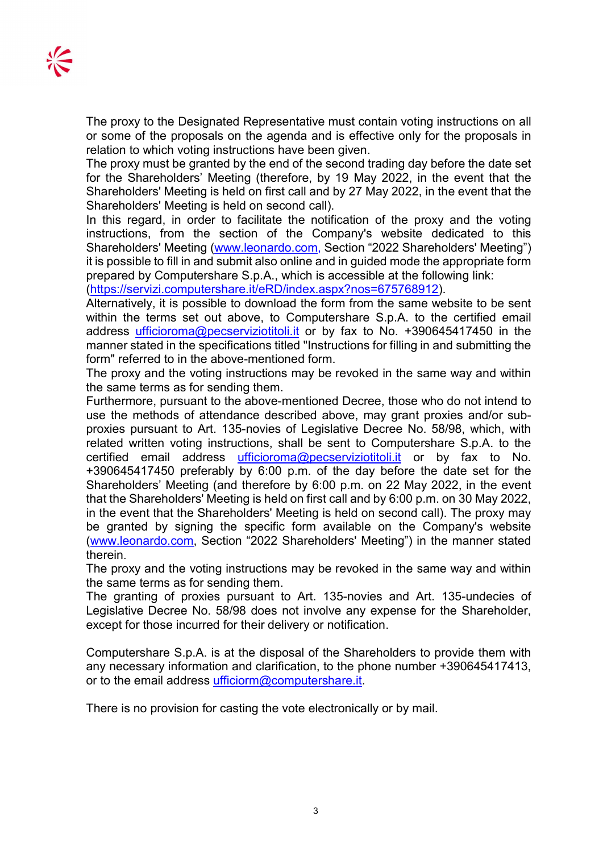The proxy to the Designated Representative must contain voting instructions on all or some of the proposals on the agenda and is effective only for the proposals in relation to which voting instructions have been given.

The proxy must be granted by the end of the second trading day before the date set for the Shareholders' Meeting (therefore, by 19 May 2022, in the event that the Shareholders' Meeting is held on first call and by 27 May 2022, in the event that the Shareholders' Meeting is held on second call).

In this regard, in order to facilitate the notification of the proxy and the voting instructions, from the section of the Company's website dedicated to this Shareholders' Meeting (www.leonardo.com, Section "2022 Shareholders' Meeting") it is possible to fill in and submit also online and in guided mode the appropriate form prepared by Computershare S.p.A., which is accessible at the following link:

(https://servizi.computershare.it/eRD/index.aspx?nos=675768912).

Alternatively, it is possible to download the form from the same website to be sent within the terms set out above, to Computershare S.p.A. to the certified email address ufficioroma@pecserviziotitoli.it or by fax to No. +390645417450 in the manner stated in the specifications titled "Instructions for filling in and submitting the form" referred to in the above-mentioned form.

The proxy and the voting instructions may be revoked in the same way and within the same terms as for sending them.

Furthermore, pursuant to the above-mentioned Decree, those who do not intend to use the methods of attendance described above, may grant proxies and/or subproxies pursuant to Art. 135-novies of Legislative Decree No. 58/98, which, with related written voting instructions, shall be sent to Computershare S.p.A. to the certified email address ufficioroma@pecserviziotitoli.it or by fax to No. +390645417450 preferably by 6:00 p.m. of the day before the date set for the Shareholders' Meeting (and therefore by 6:00 p.m. on 22 May 2022, in the event that the Shareholders' Meeting is held on first call and by 6:00 p.m. on 30 May 2022, in the event that the Shareholders' Meeting is held on second call). The proxy may be granted by signing the specific form available on the Company's website (www.leonardo.com, Section "2022 Shareholders' Meeting") in the manner stated therein.

The proxy and the voting instructions may be revoked in the same way and within the same terms as for sending them.

The granting of proxies pursuant to Art. 135-novies and Art. 135-undecies of Legislative Decree No. 58/98 does not involve any expense for the Shareholder, except for those incurred for their delivery or notification.

Computershare S.p.A. is at the disposal of the Shareholders to provide them with any necessary information and clarification, to the phone number +390645417413, or to the email address ufficiorm@computershare.it.

There is no provision for casting the vote electronically or by mail.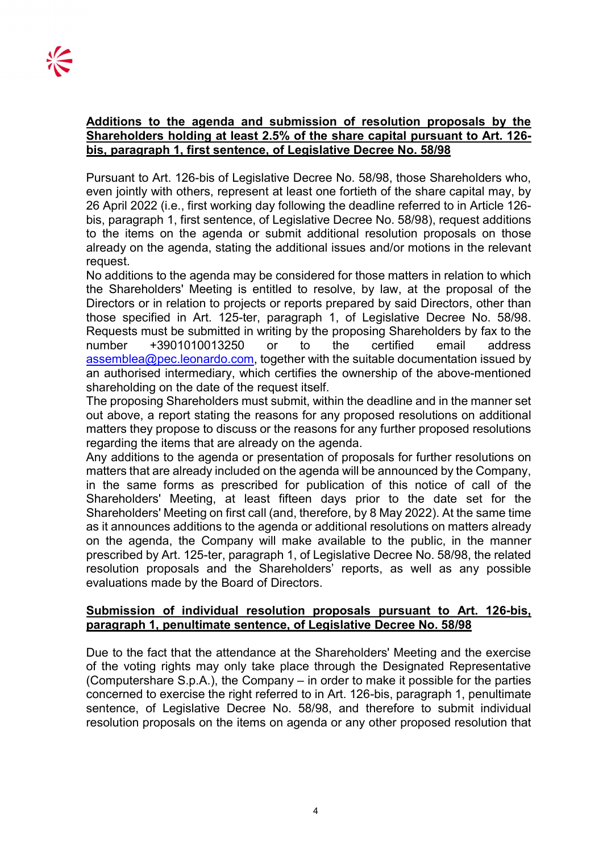#### Additions to the agenda and submission of resolution proposals by the Shareholders holding at least 2.5% of the share capital pursuant to Art. 126 bis, paragraph 1, first sentence, of Legislative Decree No. 58/98

Pursuant to Art. 126-bis of Legislative Decree No. 58/98, those Shareholders who, even jointly with others, represent at least one fortieth of the share capital may, by 26 April 2022 (i.e., first working day following the deadline referred to in Article 126 bis, paragraph 1, first sentence, of Legislative Decree No. 58/98), request additions to the items on the agenda or submit additional resolution proposals on those already on the agenda, stating the additional issues and/or motions in the relevant request.

No additions to the agenda may be considered for those matters in relation to which the Shareholders' Meeting is entitled to resolve, by law, at the proposal of the Directors or in relation to projects or reports prepared by said Directors, other than those specified in Art. 125-ter, paragraph 1, of Legislative Decree No. 58/98. Requests must be submitted in writing by the proposing Shareholders by fax to the number +3901010013250 or to the certified email address assemblea@pec.leonardo.com, together with the suitable documentation issued by an authorised intermediary, which certifies the ownership of the above-mentioned shareholding on the date of the request itself.

The proposing Shareholders must submit, within the deadline and in the manner set out above, a report stating the reasons for any proposed resolutions on additional matters they propose to discuss or the reasons for any further proposed resolutions regarding the items that are already on the agenda.

Any additions to the agenda or presentation of proposals for further resolutions on matters that are already included on the agenda will be announced by the Company, in the same forms as prescribed for publication of this notice of call of the Shareholders' Meeting, at least fifteen days prior to the date set for the Shareholders' Meeting on first call (and, therefore, by 8 May 2022). At the same time as it announces additions to the agenda or additional resolutions on matters already on the agenda, the Company will make available to the public, in the manner prescribed by Art. 125-ter, paragraph 1, of Legislative Decree No. 58/98, the related resolution proposals and the Shareholders' reports, as well as any possible evaluations made by the Board of Directors.

### Submission of individual resolution proposals pursuant to Art. 126-bis, paragraph 1, penultimate sentence, of Legislative Decree No. 58/98

Due to the fact that the attendance at the Shareholders' Meeting and the exercise of the voting rights may only take place through the Designated Representative (Computershare S.p.A.), the Company – in order to make it possible for the parties concerned to exercise the right referred to in Art. 126-bis, paragraph 1, penultimate sentence, of Legislative Decree No. 58/98, and therefore to submit individual resolution proposals on the items on agenda or any other proposed resolution that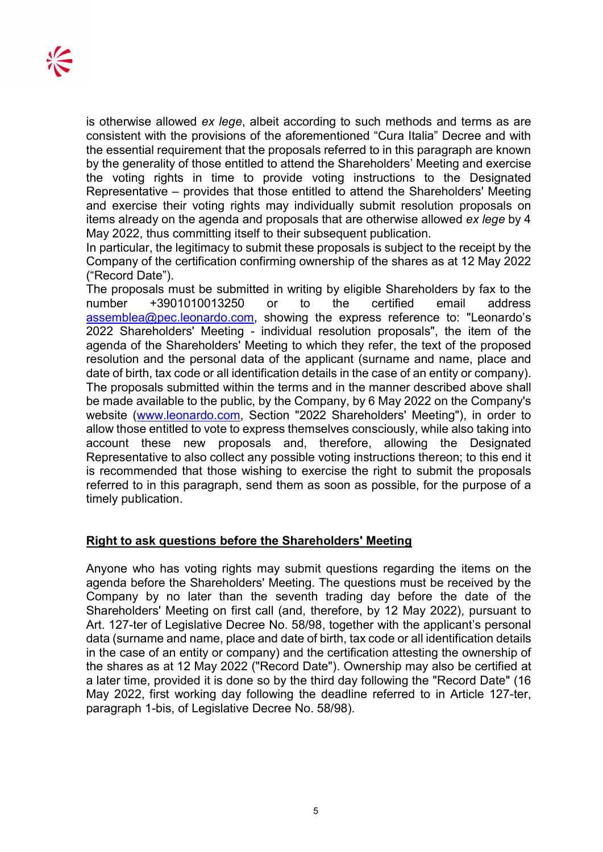is otherwise allowed ex lege, albeit according to such methods and terms as are consistent with the provisions of the aforementioned "Cura Italia" Decree and with the essential requirement that the proposals referred to in this paragraph are known by the generality of those entitled to attend the Shareholders' Meeting and exercise the voting rights in time to provide voting instructions to the Designated Representative – provides that those entitled to attend the Shareholders' Meeting and exercise their voting rights may individually submit resolution proposals on items already on the agenda and proposals that are otherwise allowed ex lege by 4 May 2022, thus committing itself to their subsequent publication.

In particular, the legitimacy to submit these proposals is subject to the receipt by the Company of the certification confirming ownership of the shares as at 12 May 2022 ("Record Date").

The proposals must be submitted in writing by eligible Shareholders by fax to the number +3901010013250 or to the certified email address assemblea@pec.leonardo.com, showing the express reference to: "Leonardo's 2022 Shareholders' Meeting - individual resolution proposals", the item of the agenda of the Shareholders' Meeting to which they refer, the text of the proposed resolution and the personal data of the applicant (surname and name, place and date of birth, tax code or all identification details in the case of an entity or company). The proposals submitted within the terms and in the manner described above shall be made available to the public, by the Company, by 6 May 2022 on the Company's website (www.leonardo.com, Section "2022 Shareholders' Meeting"), in order to allow those entitled to vote to express themselves consciously, while also taking into account these new proposals and, therefore, allowing the Designated Representative to also collect any possible voting instructions thereon; to this end it is recommended that those wishing to exercise the right to submit the proposals referred to in this paragraph, send them as soon as possible, for the purpose of a timely publication.

#### Right to ask questions before the Shareholders' Meeting

Anyone who has voting rights may submit questions regarding the items on the agenda before the Shareholders' Meeting. The questions must be received by the Company by no later than the seventh trading day before the date of the Shareholders' Meeting on first call (and, therefore, by 12 May 2022), pursuant to Art. 127-ter of Legislative Decree No. 58/98, together with the applicant's personal data (surname and name, place and date of birth, tax code or all identification details in the case of an entity or company) and the certification attesting the ownership of the shares as at 12 May 2022 ("Record Date"). Ownership may also be certified at a later time, provided it is done so by the third day following the "Record Date" (16 May 2022, first working day following the deadline referred to in Article 127-ter, paragraph 1-bis, of Legislative Decree No. 58/98).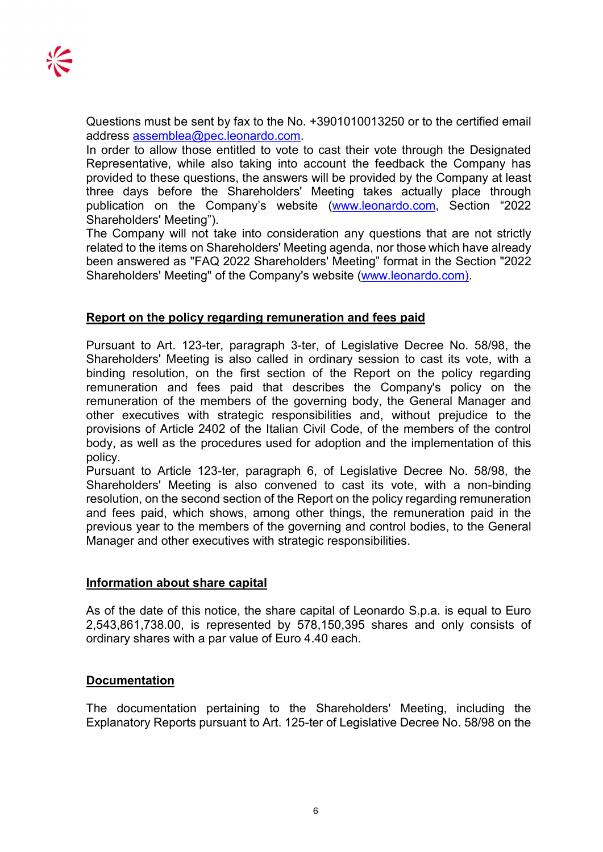Questions must be sent by fax to the No. +3901010013250 or to the certified email address assemblea@pec.leonardo.com.

In order to allow those entitled to vote to cast their vote through the Designated Representative, while also taking into account the feedback the Company has provided to these questions, the answers will be provided by the Company at least three days before the Shareholders' Meeting takes actually place through publication on the Company's website (www.leonardo.com, Section "2022 Shareholders' Meeting").

The Company will not take into consideration any questions that are not strictly related to the items on Shareholders' Meeting agenda, nor those which have already been answered as "FAQ 2022 Shareholders' Meeting" format in the Section "2022 Shareholders' Meeting" of the Company's website (www.leonardo.com).

### Report on the policy regarding remuneration and fees paid

Pursuant to Art. 123-ter, paragraph 3-ter, of Legislative Decree No. 58/98, the Shareholders' Meeting is also called in ordinary session to cast its vote, with a binding resolution, on the first section of the Report on the policy regarding remuneration and fees paid that describes the Company's policy on the remuneration of the members of the governing body, the General Manager and other executives with strategic responsibilities and, without prejudice to the provisions of Article 2402 of the Italian Civil Code, of the members of the control body, as well as the procedures used for adoption and the implementation of this policy.

Pursuant to Article 123-ter, paragraph 6, of Legislative Decree No. 58/98, the Shareholders' Meeting is also convened to cast its vote, with a non-binding resolution, on the second section of the Report on the policy regarding remuneration and fees paid, which shows, among other things, the remuneration paid in the previous year to the members of the governing and control bodies, to the General Manager and other executives with strategic responsibilities.

#### Information about share capital

As of the date of this notice, the share capital of Leonardo S.p.a. is equal to Euro 2,543,861,738.00, is represented by 578,150,395 shares and only consists of ordinary shares with a par value of Euro 4.40 each.

#### **Documentation**

The documentation pertaining to the Shareholders' Meeting, including the Explanatory Reports pursuant to Art. 125-ter of Legislative Decree No. 58/98 on the